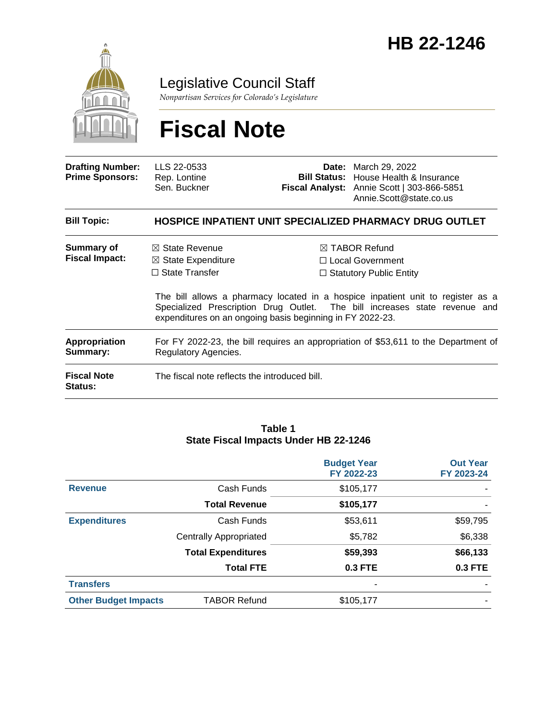

### Legislative Council Staff

*Nonpartisan Services for Colorado's Legislature*

# **Fiscal Note**

| <b>Drafting Number:</b><br><b>Prime Sponsors:</b> | LLS 22-0533<br>Rep. Lontine<br>Sen. Buckner                                                                                                      |  | <b>Date:</b> March 29, 2022<br><b>Bill Status:</b> House Health & Insurance<br>Fiscal Analyst: Annie Scott   303-866-5851<br>Annie.Scott@state.co.us                                                                                              |
|---------------------------------------------------|--------------------------------------------------------------------------------------------------------------------------------------------------|--|---------------------------------------------------------------------------------------------------------------------------------------------------------------------------------------------------------------------------------------------------|
| <b>Bill Topic:</b>                                |                                                                                                                                                  |  | <b>HOSPICE INPATIENT UNIT SPECIALIZED PHARMACY DRUG OUTLET</b>                                                                                                                                                                                    |
| Summary of<br><b>Fiscal Impact:</b>               | $\boxtimes$ State Revenue<br>$\boxtimes$ State Expenditure<br>$\Box$ State Transfer<br>expenditures on an ongoing basis beginning in FY 2022-23. |  | $\boxtimes$ TABOR Refund<br>□ Local Government<br>$\Box$ Statutory Public Entity<br>The bill allows a pharmacy located in a hospice inpatient unit to register as a<br>Specialized Prescription Drug Outlet. The bill increases state revenue and |
| <b>Appropriation</b><br>Summary:                  | For FY 2022-23, the bill requires an appropriation of \$53,611 to the Department of<br>Regulatory Agencies.                                      |  |                                                                                                                                                                                                                                                   |
| <b>Fiscal Note</b><br>Status:                     | The fiscal note reflects the introduced bill.                                                                                                    |  |                                                                                                                                                                                                                                                   |

#### **Table 1 State Fiscal Impacts Under HB 22-1246**

|                             |                               | <b>Budget Year</b><br>FY 2022-23 | <b>Out Year</b><br>FY 2023-24 |
|-----------------------------|-------------------------------|----------------------------------|-------------------------------|
| <b>Revenue</b>              | Cash Funds                    | \$105,177                        |                               |
|                             | <b>Total Revenue</b>          | \$105,177                        |                               |
| <b>Expenditures</b>         | Cash Funds                    | \$53,611                         | \$59,795                      |
|                             | <b>Centrally Appropriated</b> | \$5,782                          | \$6,338                       |
|                             | <b>Total Expenditures</b>     | \$59,393                         | \$66,133                      |
|                             | <b>Total FTE</b>              | 0.3 FTE                          | <b>0.3 FTE</b>                |
| <b>Transfers</b>            |                               |                                  |                               |
| <b>Other Budget Impacts</b> | <b>TABOR Refund</b>           | \$105,177                        |                               |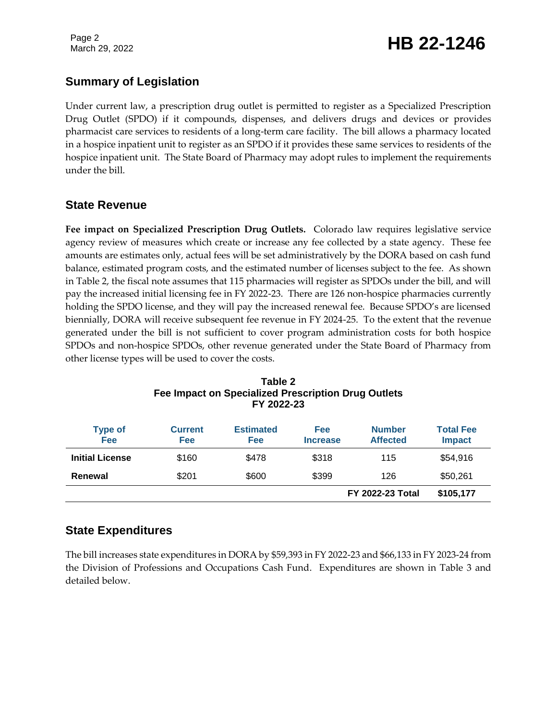Page 2

# Page 2<br>March 29, 2022 **HB 22-1246**

### **Summary of Legislation**

Under current law, a prescription drug outlet is permitted to register as a Specialized Prescription Drug Outlet (SPDO) if it compounds, dispenses, and delivers drugs and devices or provides pharmacist care services to residents of a long-term care facility. The bill allows a pharmacy located in a hospice inpatient unit to register as an SPDO if it provides these same services to residents of the hospice inpatient unit. The State Board of Pharmacy may adopt rules to implement the requirements under the bill.

### **State Revenue**

**Fee impact on Specialized Prescription Drug Outlets.** Colorado law requires legislative service agency review of measures which create or increase any fee collected by a state agency. These fee amounts are estimates only, actual fees will be set administratively by the DORA based on cash fund balance, estimated program costs, and the estimated number of licenses subject to the fee. As shown in Table 2, the fiscal note assumes that 115 pharmacies will register as SPDOs under the bill, and will pay the increased initial licensing fee in FY 2022-23. There are 126 non-hospice pharmacies currently holding the SPDO license, and they will pay the increased renewal fee. Because SPDO's are licensed biennially, DORA will receive subsequent fee revenue in FY 2024-25. To the extent that the revenue generated under the bill is not sufficient to cover program administration costs for both hospice SPDOs and non-hospice SPDOs, other revenue generated under the State Board of Pharmacy from other license types will be used to cover the costs.

| <b>Type of</b><br><b>Fee</b> | <b>Current</b><br><b>Fee</b> | <b>Estimated</b><br>Fee | Fee<br><b>Increase</b> | <b>Number</b><br><b>Affected</b> | <b>Total Fee</b><br><b>Impact</b> |
|------------------------------|------------------------------|-------------------------|------------------------|----------------------------------|-----------------------------------|
| <b>Initial License</b>       | \$160                        | \$478                   | \$318                  | 115                              | \$54,916                          |
| Renewal                      | \$201                        | \$600                   | \$399                  | 126                              | \$50,261                          |
|                              |                              |                         |                        | <b>FY 2022-23 Total</b>          | \$105,177                         |

#### **Table 2 Fee Impact on Specialized Prescription Drug Outlets FY 2022-23**

### **State Expenditures**

The bill increases state expenditures in DORA by \$59,393 in FY 2022-23 and \$66,133 in FY 2023-24 from the Division of Professions and Occupations Cash Fund. Expenditures are shown in Table 3 and detailed below.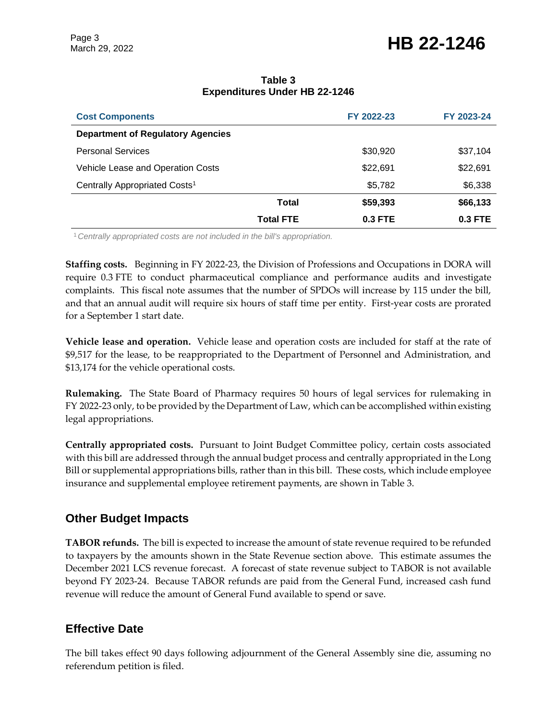# March 29, 2022 **HB 22-1246**

#### **Table 3 Expenditures Under HB 22-1246**

| <b>Cost Components</b>                    |                  | FY 2022-23 | FY 2023-24 |
|-------------------------------------------|------------------|------------|------------|
| <b>Department of Regulatory Agencies</b>  |                  |            |            |
| <b>Personal Services</b>                  |                  | \$30,920   | \$37,104   |
| Vehicle Lease and Operation Costs         |                  | \$22,691   | \$22,691   |
| Centrally Appropriated Costs <sup>1</sup> |                  | \$5,782    | \$6,338    |
|                                           | <b>Total</b>     | \$59,393   | \$66,133   |
|                                           | <b>Total FTE</b> | 0.3 FTE    | $0.3$ FTE  |

<sup>1</sup>*Centrally appropriated costs are not included in the bill's appropriation.*

**Staffing costs.** Beginning in FY 2022-23, the Division of Professions and Occupations in DORA will require 0.3 FTE to conduct pharmaceutical compliance and performance audits and investigate complaints. This fiscal note assumes that the number of SPDOs will increase by 115 under the bill, and that an annual audit will require six hours of staff time per entity. First-year costs are prorated for a September 1 start date.

**Vehicle lease and operation.** Vehicle lease and operation costs are included for staff at the rate of \$9,517 for the lease, to be reappropriated to the Department of Personnel and Administration, and \$13,174 for the vehicle operational costs.

**Rulemaking.** The State Board of Pharmacy requires 50 hours of legal services for rulemaking in FY 2022-23 only, to be provided by the Department of Law, which can be accomplished within existing legal appropriations.

**Centrally appropriated costs.** Pursuant to Joint Budget Committee policy, certain costs associated with this bill are addressed through the annual budget process and centrally appropriated in the Long Bill or supplemental appropriations bills, rather than in this bill. These costs, which include employee insurance and supplemental employee retirement payments, are shown in Table 3.

### **Other Budget Impacts**

**TABOR refunds.** The bill is expected to increase the amount of state revenue required to be refunded to taxpayers by the amounts shown in the State Revenue section above. This estimate assumes the December 2021 LCS revenue forecast. A forecast of state revenue subject to TABOR is not available beyond FY 2023-24. Because TABOR refunds are paid from the General Fund, increased cash fund revenue will reduce the amount of General Fund available to spend or save.

### **Effective Date**

The bill takes effect 90 days following adjournment of the General Assembly sine die, assuming no referendum petition is filed.